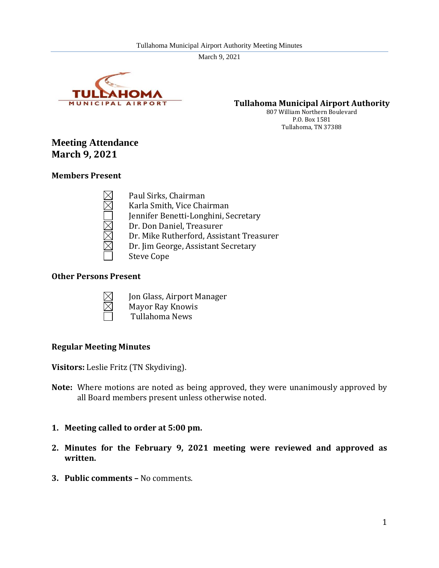

**Tullahoma Municipal Airport Authority**

807 William Northern Boulevard P.O. Box 1581 Tullahoma, TN 37388

# **Meeting Attendance March 9, 2021**

#### **Members Present**

Paul Sirks, Chairman Karla Smith, Vice Chairman Jennifer Benetti-Longhini, Secretary Dr. Don Daniel, Treasurer Dr. Mike Rutherford, Assistant Treasurer Dr. Jim George, Assistant Secretary Steve Cope

#### **Other Persons Present**



- Jon Glass, Airport Manager Mayor Ray Knowis
- Tullahoma News

#### **Regular Meeting Minutes**

**Visitors:** Leslie Fritz (TN Skydiving).

- **Note:** Where motions are noted as being approved, they were unanimously approved by all Board members present unless otherwise noted.
- **1. Meeting called to order at 5:00 pm.**
- **2. Minutes for the February 9, 2021 meeting were reviewed and approved as written.**
- **3. Public comments –** No comments.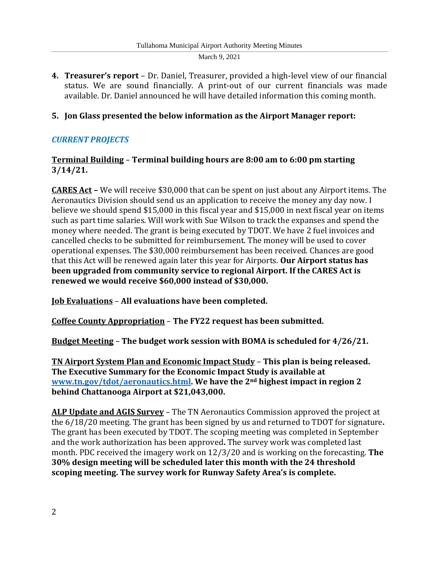**4. Treasurer's report** – Dr. Daniel, Treasurer, provided a high-level view of our financial status. We are sound financially. A print-out of our current financials was made available. Dr. Daniel announced he will have detailed information this coming month.

## **5. Jon Glass presented the below information as the Airport Manager report:**

# *CURRENT PROJECTS*

#### **Terminal Building** – **Terminal building hours are 8:00 am to 6:00 pm starting 3/14/21.**

**CARES Act –** We will receive \$30,000 that can be spent on just about any Airport items. The Aeronautics Division should send us an application to receive the money any day now. I believe we should spend \$15,000 in this fiscal year and \$15,000 in next fiscal year on items such as part time salaries. Will work with Sue Wilson to track the expanses and spend the money where needed. The grant is being executed by TDOT. We have 2 fuel invoices and cancelled checks to be submitted for reimbursement. The money will be used to cover operational expenses. The \$30,000 reimbursement has been received. Chances are good that this Act will be renewed again later this year for Airports. **Our Airport status has been upgraded from community service to regional Airport. If the CARES Act is renewed we would receive \$60,000 instead of \$30,000.**

**Job Evaluations** – **All evaluations have been completed.**

**Coffee County Appropriation** – **The FY22 request has been submitted.**

**Budget Meeting** – **The budget work session with BOMA is scheduled for 4/26/21.**

**TN Airport System Plan and Economic Impact Study** – **This plan is being released. The Executive Summary for the Economic Impact Study is available at [www.tn.gov/tdot/aeronautics.html.](http://www.tn.gov/tdot/aeronautics.html) We have the 2nd highest impact in region 2 behind Chattanooga Airport at \$21,043,000.**

**ALP Update and AGIS Survey** – The TN Aeronautics Commission approved the project at the 6/18/20 meeting. The grant has been signed by us and returned to TDOT for signature**.** The grant has been executed by TDOT. The scoping meeting was completed in September and the work authorization has been approved**.** The survey work was completed last month. PDC received the imagery work on 12/3/20 and is working on the forecasting. **The 30% design meeting will be scheduled later this month with the 24 threshold scoping meeting. The survey work for Runway Safety Area's is complete.**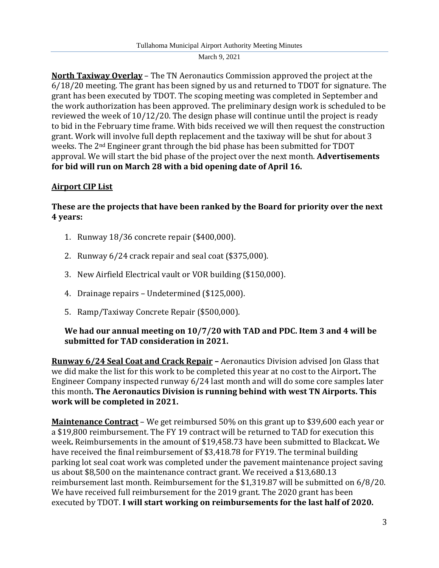**North Taxiway Overlay** – The TN Aeronautics Commission approved the project at the 6/18/20 meeting. The grant has been signed by us and returned to TDOT for signature. The grant has been executed by TDOT. The scoping meeting was completed in September and the work authorization has been approved. The preliminary design work is scheduled to be reviewed the week of 10/12/20. The design phase will continue until the project is ready to bid in the February time frame. With bids received we will then request the construction grant. Work will involve full depth replacement and the taxiway will be shut for about 3 weeks. The 2nd Engineer grant through the bid phase has been submitted for TDOT approval. We will start the bid phase of the project over the next month. **Advertisements for bid will run on March 28 with a bid opening date of April 16.**

# **Airport CIP List**

## **These are the projects that have been ranked by the Board for priority over the next 4 years:**

- 1. Runway 18/36 concrete repair (\$400,000).
- 2. Runway 6/24 crack repair and seal coat (\$375,000).
- 3. New Airfield Electrical vault or VOR building (\$150,000).
- 4. Drainage repairs Undetermined (\$125,000).
- 5. Ramp/Taxiway Concrete Repair (\$500,000).

#### **We had our annual meeting on 10/7/20 with TAD and PDC. Item 3 and 4 will be submitted for TAD consideration in 2021.**

**Runway 6/24 Seal Coat and Crack Repair –** Aeronautics Division advised Jon Glass that we did make the list for this work to be completed this year at no cost to the Airport**.** The Engineer Company inspected runway 6/24 last month and will do some core samples later this month**. The Aeronautics Division is running behind with west TN Airports. This work will be completed in 2021.**

**Maintenance Contract** – We get reimbursed 50% on this grant up to \$39,600 each year or a \$19,800 reimbursement. The FY 19 contract will be returned to TAD for execution this week**.** Reimbursements in the amount of \$19,458.73 have been submitted to Blackcat**.** We have received the final reimbursement of \$3,418.78 for FY19. The terminal building parking lot seal coat work was completed under the pavement maintenance project saving us about \$8,500 on the maintenance contract grant. We received a \$13,680.13 reimbursement last month. Reimbursement for the \$1,319.87 will be submitted on 6/8/20. We have received full reimbursement for the 2019 grant. The 2020 grant has been executed by TDOT. **I will start working on reimbursements for the last half of 2020.**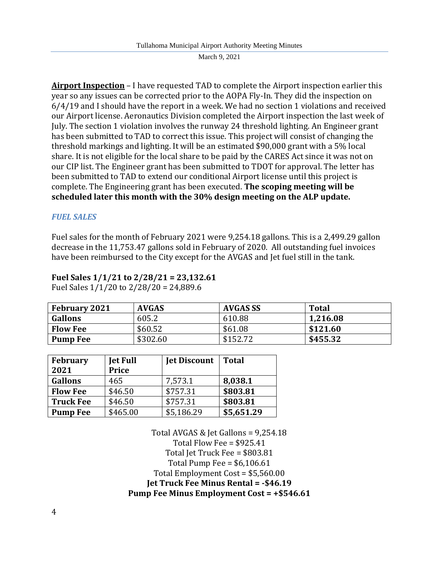**Airport Inspection** – I have requested TAD to complete the Airport inspection earlier this year so any issues can be corrected prior to the AOPA Fly-In. They did the inspection on 6/4/19 and I should have the report in a week. We had no section 1 violations and received our Airport license. Aeronautics Division completed the Airport inspection the last week of July. The section 1 violation involves the runway 24 threshold lighting. An Engineer grant has been submitted to TAD to correct this issue. This project will consist of changing the threshold markings and lighting. It will be an estimated \$90,000 grant with a 5% local share. It is not eligible for the local share to be paid by the CARES Act since it was not on our CIP list. The Engineer grant has been submitted to TDOT for approval. The letter has been submitted to TAD to extend our conditional Airport license until this project is complete. The Engineering grant has been executed. **The scoping meeting will be scheduled later this month with the 30% design meeting on the ALP update.**

#### *FUEL SALES*

Fuel sales for the month of February 2021 were 9,254.18 gallons. This is a 2,499.29 gallon decrease in the 11,753.47 gallons sold in February of 2020. All outstanding fuel invoices have been reimbursed to the City except for the AVGAS and Jet fuel still in the tank.

# **Fuel Sales 1/1/21 to 2/28/21 = 23,132.61**

Fuel Sales 1/1/20 to 2/28/20 = 24,889.6

| <b>February 2021</b> | <b>AVGAS</b> | AVGAS SS | <b>Total</b> |
|----------------------|--------------|----------|--------------|
| <b>Gallons</b>       | 605.2        | 610.88   | 1,216.08     |
| <b>Flow Fee</b>      | \$60.52      | \$61.08  | \$121.60     |
| <b>Pump Fee</b>      | \$302.60     | \$152.72 | \$455.32     |

| <b>February</b><br>2021 | <b>Jet Full</b><br><b>Price</b> | <b>Jet Discount</b> | <b>Total</b> |
|-------------------------|---------------------------------|---------------------|--------------|
| <b>Gallons</b>          | 465                             | 7,573.1             | 8,038.1      |
| <b>Flow Fee</b>         | \$46.50                         | \$757.31            | \$803.81     |
| <b>Truck Fee</b>        | \$46.50                         | \$757.31            | \$803.81     |
| <b>Pump Fee</b>         | \$465.00                        | \$5,186.29          | \$5,651.29   |

Total AVGAS & Jet Gallons = 9,254.18 Total Flow Fee = \$925.41 Total Jet Truck Fee = \$803.81 Total Pump Fee =  $$6,106.61$ Total Employment Cost = \$5,560.00 **Jet Truck Fee Minus Rental = -\$46.19 Pump Fee Minus Employment Cost = +\$546.61**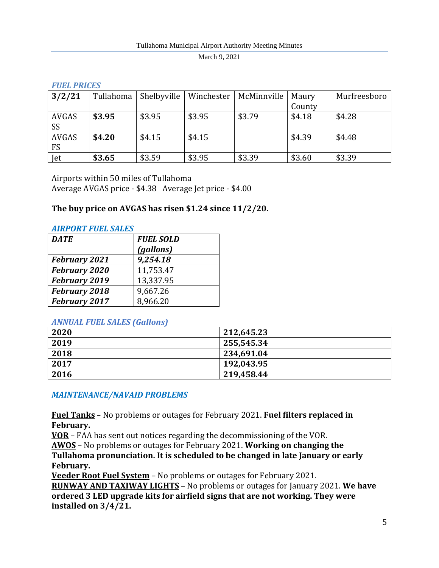#### *FUEL PRICES*

| 3/2/21       | Tullahoma | Shelbyville | Winchester | McMinnville | Maury  | Murfreesboro |
|--------------|-----------|-------------|------------|-------------|--------|--------------|
|              |           |             |            |             | County |              |
| <b>AVGAS</b> | \$3.95    | \$3.95      | \$3.95     | \$3.79      | \$4.18 | \$4.28       |
| SS           |           |             |            |             |        |              |
| <b>AVGAS</b> | \$4.20    | \$4.15      | \$4.15     |             | \$4.39 | \$4.48       |
| <b>FS</b>    |           |             |            |             |        |              |
| Jet          | \$3.65    | \$3.59      | \$3.95     | \$3.39      | \$3.60 | \$3.39       |

Airports within 50 miles of Tullahoma Average AVGAS price - \$4.38 Average Jet price - \$4.00

## **The buy price on AVGAS has risen \$1.24 since 11/2/20.**

#### *AIRPORT FUEL SALES*

| <b>DATE</b>          | <b>FUEL SOLD</b> |
|----------------------|------------------|
|                      | (gallons)        |
| <b>February 2021</b> | 9,254.18         |
| <b>February 2020</b> | 11,753.47        |
| <b>February 2019</b> | 13,337.95        |
| <b>February 2018</b> | 9,667.26         |
| February 2017        | 8,966.20         |

#### *ANNUAL FUEL SALES (Gallons)*

| 2020 | 212,645.23 |
|------|------------|
| 2019 | 255,545.34 |
| 2018 | 234,691.04 |
| 2017 | 192,043.95 |
| 2016 | 219,458.44 |

## *MAINTENANCE/NAVAID PROBLEMS*

**Fuel Tanks** – No problems or outages for February 2021. **Fuel filters replaced in February.**

**VOR** – FAA has sent out notices regarding the decommissioning of the VOR.

**AWOS** – No problems or outages for February 2021. **Working on changing the Tullahoma pronunciation. It is scheduled to be changed in late January or early** 

**February.**

**Veeder Root Fuel System** – No problems or outages for February 2021.

**RUNWAY AND TAXIWAY LIGHTS** – No problems or outages for January 2021. **We have ordered 3 LED upgrade kits for airfield signs that are not working. They were installed on 3/4/21.**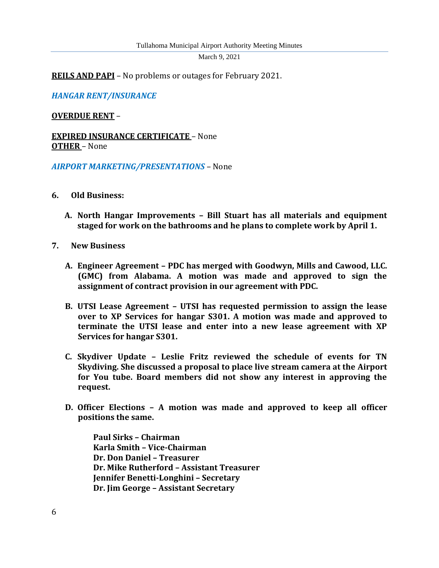**REILS AND PAPI** – No problems or outages for February 2021.

*HANGAR RENT/INSURANCE*

#### **OVERDUE RENT** –

**EXPIRED INSURANCE CERTIFICATE** – None **OTHER** – None

*AIRPORT MARKETING/PRESENTATIONS* – None

- **6. Old Business:**
	- **A. North Hangar Improvements – Bill Stuart has all materials and equipment staged for work on the bathrooms and he plans to complete work by April 1.**
- **7. New Business**
	- **A. Engineer Agreement – PDC has merged with Goodwyn, Mills and Cawood, LLC. (GMC) from Alabama. A motion was made and approved to sign the assignment of contract provision in our agreement with PDC.**
	- **B. UTSI Lease Agreement – UTSI has requested permission to assign the lease over to XP Services for hangar S301. A motion was made and approved to terminate the UTSI lease and enter into a new lease agreement with XP Services for hangar S301.**
	- **C. Skydiver Update – Leslie Fritz reviewed the schedule of events for TN Skydiving. She discussed a proposal to place live stream camera at the Airport for You tube. Board members did not show any interest in approving the request.**
	- **D. Officer Elections – A motion was made and approved to keep all officer positions the same.**

 **Paul Sirks – Chairman Karla Smith – Vice-Chairman Dr. Don Daniel – Treasurer Dr. Mike Rutherford – Assistant Treasurer Jennifer Benetti-Longhini – Secretary Dr. Jim George – Assistant Secretary**